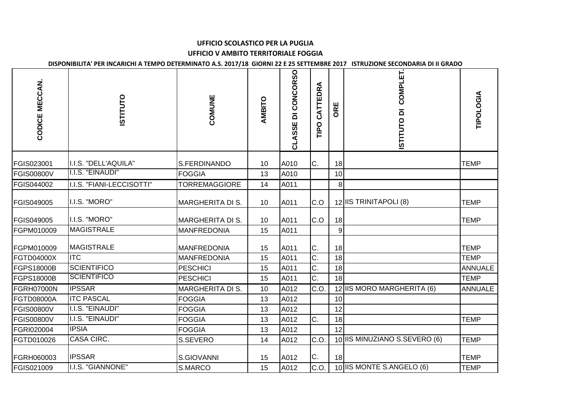## **UFFICIO SCOLASTICO PER LA PUGLIAUFFICIO V AMBITO TERRITORIALE FOGGIA**

**DISPONIBILITA' PER INCARICHI A TEMPO DETERMINATO A.S. 2017/18 GIORNI 22 E 25 SETTEMBRE 2017 ISTRUZIONE SECONDARIA DI II GRADO**

| CODICE MECCAN.    | <b>ISTITUTO</b>           | COMUNE                  | AMBITO | <b>CONCORSO</b><br>ō<br>CLASSE | CATTEDRA<br><b>Dall</b> | ORE     | COMPLET.<br>ISTITUTO DI       | TIPOLOGIA      |
|-------------------|---------------------------|-------------------------|--------|--------------------------------|-------------------------|---------|-------------------------------|----------------|
| FGIS023001        | I.I.S. "DELL'AQUILA"      | S.FERDINANDO            | 10     | A010                           | C.                      | 18      |                               | <b>TEMP</b>    |
| <b>FGIS00800V</b> | I.I.S. "EINAUDI"          | <b>FOGGIA</b>           | 13     | A010                           |                         | 10      |                               |                |
| FGIS044002        | I.I.S. "FIANI-LECCISOTTI" | <b>TORREMAGGIORE</b>    | 14     | A011                           |                         | $\bf 8$ |                               |                |
| FGIS049005        | I.I.S. "MORO"             | <b>MARGHERITA DI S.</b> | 10     | A011                           | C.O                     |         | 12 IIS TRINITAPOLI (8)        | <b>TEMP</b>    |
| FGIS049005        | I.I.S. "MORO"             | <b>MARGHERITA DI S.</b> | 10     | A011                           | C.O                     | 18      |                               | <b>TEMP</b>    |
| FGPM010009        | <b>MAGISTRALE</b>         | <b>MANFREDONIA</b>      | 15     | A011                           |                         | 9       |                               |                |
| FGPM010009        | <b>MAGISTRALE</b>         | <b>MANFREDONIA</b>      | 15     | A011                           | C.                      | 18      |                               | <b>TEMP</b>    |
| FGTD04000X        | <b>ITC</b>                | <b>MANFREDONIA</b>      | 15     | A011                           | C.                      | 18      |                               | <b>TEMP</b>    |
| FGPS18000B        | <b>SCIENTIFICO</b>        | PESCHICI                | 15     | A011                           | C.                      | 18      |                               | <b>ANNUALE</b> |
| FGPS18000B        | <b>SCIENTIFICO</b>        | <b>PESCHICI</b>         | 15     | A011                           | C.                      | 18      |                               | <b>TEMP</b>    |
| <b>FGRH07000N</b> | <b>IPSSAR</b>             | <b>MARGHERITA DI S.</b> | 10     | A012                           | C.O.                    |         | 12 IIS MORO MARGHERITA (6)    | <b>ANNUALE</b> |
| FGTD08000A        | <b>ITC PASCAL</b>         | <b>FOGGIA</b>           | 13     | A012                           |                         | 10      |                               |                |
| <b>FGIS00800V</b> | I.I.S. "EINAUDI"          | <b>FOGGIA</b>           | 13     | A012                           |                         | 12      |                               |                |
| <b>FGIS00800V</b> | I.I.S. "EINAUDI"          | <b>FOGGIA</b>           | 13     | A012                           | C.                      | 18      |                               | <b>TEMP</b>    |
| FGRI020004        | <b>IPSIA</b>              | <b>FOGGIA</b>           | 13     | A012                           |                         | 12      |                               |                |
| FGTD010026        | CASA CIRC.                | S.SEVERO                | 14     | A012                           | C.O                     |         | 10 IIS MINUZIANO S.SEVERO (6) | <b>TEMP</b>    |
| FGRH060003        | <b>IPSSAR</b>             | S.GIOVANNI              | 15     | A012                           | C.                      | 18      |                               | <b>TEMP</b>    |
| FGIS021009        | I.I.S. "GIANNONE"         | S.MARCO                 | 15     | A012                           | C.O                     |         | 10 IIS MONTE S.ANGELO (6)     | <b>TEMP</b>    |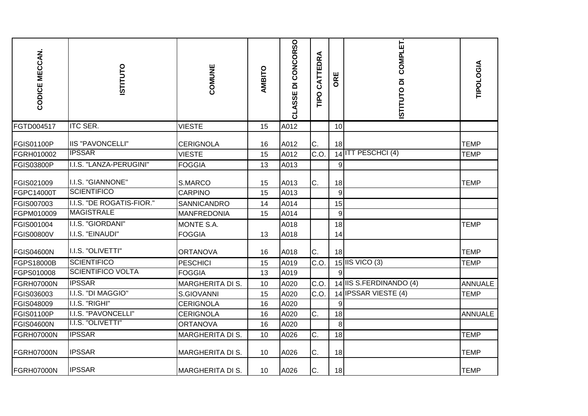| CODICE MECCAN.    | <b>ISTITUTO</b>           | COMUNE                  | AMBITO | CLASSE DI CONCORSO | CATTEDRA<br>TIPO | ORE   | COMPLET.<br>ISTITUTO DI | TIPOLOGIA      |
|-------------------|---------------------------|-------------------------|--------|--------------------|------------------|-------|-------------------------|----------------|
| FGTD004517        | <b>ITC SER.</b>           | <b>VIESTE</b>           | 15     | A012               |                  | 10    |                         |                |
| <b>FGIS01100P</b> | <b>IIS "PAVONCELLI"</b>   | <b>CERIGNOLA</b>        | 16     | A012               | C.               | 18    |                         | <b>TEMP</b>    |
| FGRH010002        | <b>IPSSAR</b>             | <b>VIESTE</b>           | 15     | A012               | C.O              |       | 14 ITT PESCHCI (4)      | <b>TEMP</b>    |
| <b>FGIS03800P</b> | I.I.S. "LANZA-PERUGINI"   | <b>FOGGIA</b>           | 13     | A013               |                  | 9     |                         |                |
| FGIS021009        | I.I.S. "GIANNONE"         | S.MARCO                 | 15     | A013               | C.               | 18    |                         | <b>TEMP</b>    |
| FGPC14000T        | <b>SCIENTIFICO</b>        | CARPINO                 | 15     | A013               |                  | $9\,$ |                         |                |
| FGIS007003        | I.I.S. "DE ROGATIS-FIOR." | SANNICANDRO             | 14     | A014               |                  | 15    |                         |                |
| FGPM010009        | <b>MAGISTRALE</b>         | <b>MANFREDONIA</b>      | 15     | A014               |                  | 9     |                         |                |
| FGIS001004        | I.I.S. "GIORDANI"         | MONTE S.A.              |        | A018               |                  | 18    |                         | <b>TEMP</b>    |
| <b>FGIS00800V</b> | I.I.S. "EINAUDI"          | <b>FOGGIA</b>           | 13     | A018               |                  | 14    |                         |                |
| <b>FGIS04600N</b> | I.I.S. "OLIVETTI"         | <b>ORTANOVA</b>         | 16     | A018               | C.               | 18    |                         | <b>TEMP</b>    |
| FGPS18000B        | <b>SCIENTIFICO</b>        | <b>PESCHICI</b>         | 15     | A019               | C.O              |       | 15 IIS VICO $(3)$       | <b>TEMP</b>    |
| FGPS010008        | <b>SCIENTIFICO VOLTA</b>  | <b>FOGGIA</b>           | 13     | A019               |                  | 9     |                         |                |
| FGRH07000N        | <b>IPSSAR</b>             | <b>MARGHERITA DI S.</b> | 10     | A020               | C.O.             |       | 14 IIS S.FERDINANDO (4) | <b>ANNUALE</b> |
| FGIS036003        | I.I.S. "DI MAGGIO"        | S.GIOVANNI              | 15     | A020               | C.O.             |       | 14 IPSSAR VIESTE (4)    | <b>TEMP</b>    |
| FGIS048009        | I.I.S. "RIGHI"            | <b>CERIGNOLA</b>        | 16     | A020               |                  | 9     |                         |                |
| <b>FGIS01100P</b> | I.I.S. "PAVONCELLI"       | <b>CERIGNOLA</b>        | 16     | A020               | C.               | 18    |                         | <b>ANNUALE</b> |
| <b>FGIS04600N</b> | I.I.S. "OLIVETTI"         | <b>ORTANOVA</b>         | 16     | A020               |                  | 8     |                         |                |
| <b>FGRH07000N</b> | <b>IPSSAR</b>             | <b>MARGHERITA DI S.</b> | 10     | A026               | C.               | 18    |                         | <b>TEMP</b>    |
| <b>FGRH07000N</b> | <b>IPSSAR</b>             | <b>MARGHERITA DI S.</b> | 10     | A026               | C.               | 18    |                         | <b>TEMP</b>    |
| FGRH07000N        | <b>IPSSAR</b>             | <b>MARGHERITA DI S.</b> | 10     | A026               | C.               | 18    |                         | <b>TEMP</b>    |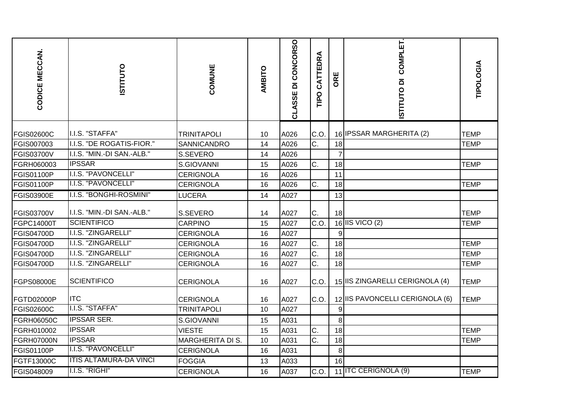| CODICE MECCAN.    | <b>ISTITUTO</b>               | COMUNE                  | AMBITO | CLASSE DI CONCORSO | CATTEDRA<br><b>Dall</b> | ORE            | COMPLET.<br>ISTITUTO DI         | TIPOLOGIA   |
|-------------------|-------------------------------|-------------------------|--------|--------------------|-------------------------|----------------|---------------------------------|-------------|
| <b>FGIS02600C</b> | I.I.S. "STAFFA"               | <b>TRINITAPOLI</b>      | 10     | A026               | C.O.                    |                | 16 IPSSAR MARGHERITA (2)        | <b>TEMP</b> |
| FGIS007003        | I.I.S. "DE ROGATIS-FIOR."     | SANNICANDRO             | 14     | A026               | C.                      | 18             |                                 | <b>TEMP</b> |
| <b>FGIS03700V</b> | I.I.S. "MIN.-DI SAN.-ALB."    | S.SEVERO                | 14     | A026               |                         | $\overline{7}$ |                                 |             |
| FGRH060003        | <b>IPSSAR</b>                 | S.GIOVANNI              | 15     | A026               | C.                      | 18             |                                 | <b>TEMP</b> |
| FGIS01100P        | I.I.S. "PAVONCELLI"           | <b>CERIGNOLA</b>        | 16     | A026               |                         | 11             |                                 |             |
| FGIS01100P        | I.I.S. "PAVONCELLI"           | <b>CERIGNOLA</b>        | 16     | A026               | C.                      | 18             |                                 | <b>TEMP</b> |
| <b>FGIS03900E</b> | I.I.S. "BONGHI-ROSMINI"       | LUCERA                  | 14     | A027               |                         | 13             |                                 |             |
| <b>FGIS03700V</b> | I.I.S. "MIN.-DI SAN.-ALB."    | S.SEVERO                | 14     | A027               | C.                      | 18             |                                 | <b>TEMP</b> |
| FGPC14000T        | <b>SCIENTIFICO</b>            | <b>CARPINO</b>          | 15     | A027               | C.O                     |                | 16 IIS VICO (2)                 | <b>TEMP</b> |
| <b>FGIS04700D</b> | I.I.S. "ZINGARELLI"           | <b>CERIGNOLA</b>        | 16     | A027               |                         | 9              |                                 |             |
| FGIS04700D        | I.I.S. "ZINGARELLI"           | <b>CERIGNOLA</b>        | 16     | A027               | C.                      | 18             |                                 | <b>TEMP</b> |
| <b>FGIS04700D</b> | I.I.S. "ZINGARELLI"           | <b>CERIGNOLA</b>        | 16     | A027               | Ċ.                      | 18             |                                 | <b>TEMP</b> |
| <b>FGIS04700D</b> | I.I.S. "ZINGARELLI"           | <b>CERIGNOLA</b>        | 16     | A027               | C.                      | 18             |                                 | <b>TEMP</b> |
| <b>FGPS08000E</b> | <b>SCIENTIFICO</b>            | <b>CERIGNOLA</b>        | 16     | A027               | C.O.                    |                | 15 IIS ZINGARELLI CERIGNOLA (4) | <b>TEMP</b> |
| FGTD02000P        | <b>ITC</b>                    | <b>CERIGNOLA</b>        | 16     | A027               | C.O.                    |                | 12 IIS PAVONCELLI CERIGNOLA (6) | <b>TEMP</b> |
| <b>FGIS02600C</b> | I.I.S. "STAFFA"               | <b>TRINITAPOLI</b>      | 10     | A027               |                         | 9              |                                 |             |
| <b>FGRH06050C</b> | <b>IPSSAR SER.</b>            | S.GIOVANNI              | 15     | A031               |                         | 8              |                                 |             |
| FGRH010002        | <b>IPSSAR</b>                 | <b>VIESTE</b>           | 15     | A031               | C.                      | 18             |                                 | <b>TEMP</b> |
| FGRH07000N        | <b>IPSSAR</b>                 | <b>MARGHERITA DI S.</b> | 10     | A031               | $\overline{C}$ .        | 18             |                                 | <b>TEMP</b> |
| <b>FGIS01100P</b> | <b>I.I.S. "PAVONCELLI"</b>    | <b>CERIGNOLA</b>        | 16     | A031               |                         | 8              |                                 |             |
| <b>FGTF13000C</b> | <b>ITIS ALTAMURA-DA VINCI</b> | <b>FOGGIA</b>           | 13     | A033               |                         | 16             |                                 |             |
| FGIS048009        | I.I.S. "RIGHI"                | <b>CERIGNOLA</b>        | 16     | A037               | C.O.                    |                | 11 ITC CERIGNOLA (9)            | <b>TEMP</b> |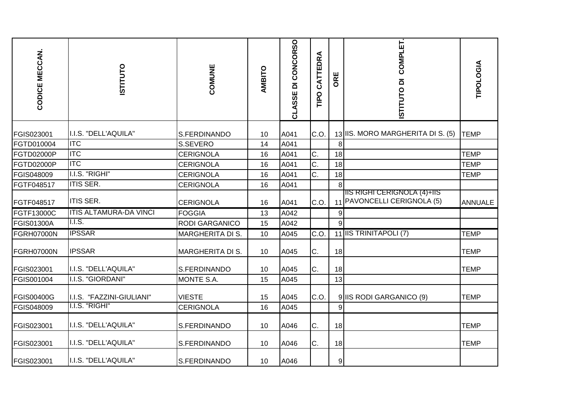| CODICE MECCAN.    | <b>STITUTO</b>                | COMUNE                  | AMBITO | <b>CONCORSO</b><br>CLASSE DI | CATTEDRA<br><b>Ddll</b> | ORE              | COMPLET<br>ISTITUTO DI                                      | TIPOLOGIA      |
|-------------------|-------------------------------|-------------------------|--------|------------------------------|-------------------------|------------------|-------------------------------------------------------------|----------------|
| FGIS023001        | I.I.S. "DELL'AQUILA"          | S.FERDINANDO            | 10     | A041                         | C.O.                    |                  | 13 IIS. MORO MARGHERITA DI S. (5)                           | <b>TEMP</b>    |
| FGTD010004        | <b>ITC</b>                    | S.SEVERO                | 14     | A041                         |                         | 8                |                                                             |                |
| <b>FGTD02000P</b> | <b>ITC</b>                    | <b>CERIGNOLA</b>        | 16     | A041                         | C.                      | 18               |                                                             | <b>TEMP</b>    |
| FGTD02000P        | <b>ITC</b>                    | <b>CERIGNOLA</b>        | 16     | A041                         | $\overline{C}$ .        | 18               |                                                             | <b>TEMP</b>    |
| FGIS048009        | I.I.S. "RIGHI"                | <b>CERIGNOLA</b>        | 16     | A041                         | C.                      | 18               |                                                             | <b>TEMP</b>    |
| FGTF048517        | <b>ITIS SER.</b>              | <b>CERIGNOLA</b>        | 16     | A041                         |                         | 8                |                                                             |                |
| FGTF048517        | <b>ITIS SER.</b>              | <b>CERIGNOLA</b>        | 16     | A041                         | C.O.                    |                  | IIIS RIGHI CERIGNOLA (4)+IIS<br>11 PAVONCELLI CERIGNOLA (5) | <b>ANNUALE</b> |
| FGTF13000C        | <b>ITIS ALTAMURA-DA VINCI</b> | <b>FOGGIA</b>           | 13     | A042                         |                         | 9                |                                                             |                |
| <b>FGIS01300A</b> | $1.1.$ S.                     | <b>RODI GARGANICO</b>   | 15     | A042                         |                         | 9                |                                                             |                |
| FGRH07000N        | <b>IPSSAR</b>                 | <b>MARGHERITA DI S.</b> | 10     | A045                         | C.O.                    |                  | 11 IS TRINITAPOLI (7)                                       | <b>TEMP</b>    |
| <b>FGRH07000N</b> | <b>IPSSAR</b>                 | <b>MARGHERITA DI S.</b> | 10     | A045                         | C.                      | 18               |                                                             | <b>TEMP</b>    |
| FGIS023001        | I.I.S. "DELL'AQUILA"          | S.FERDINANDO            | 10     | A045                         | C.                      | 18               |                                                             | <b>TEMP</b>    |
| FGIS001004        | I.I.S. "GIORDANI"             | MONTE S.A.              | 15     | A045                         |                         | 13               |                                                             |                |
| <b>FGIS00400G</b> | I.I.S. "FAZZINI-GIULIANI"     | <b>VIESTE</b>           | 15     | A045                         | C.O.                    |                  | 9 IIS RODI GARGANICO (9)                                    | <b>TEMP</b>    |
| FGIS048009        | I.I.S. "RIGHI"                | <b>CERIGNOLA</b>        | 16     | A045                         |                         | 9                |                                                             |                |
| FGIS023001        | I.I.S. "DELL'AQUILA"          | S.FERDINANDO            | 10     | A046                         | C.                      | 18               |                                                             | <b>TEMP</b>    |
| FGIS023001        | I.I.S. "DELL'AQUILA"          | S.FERDINANDO            | 10     | A046                         | C.                      | 18               |                                                             | <b>TEMP</b>    |
| FGIS023001        | I.I.S. "DELL'AQUILA"          | S.FERDINANDO            | 10     | A046                         |                         | $\boldsymbol{9}$ |                                                             |                |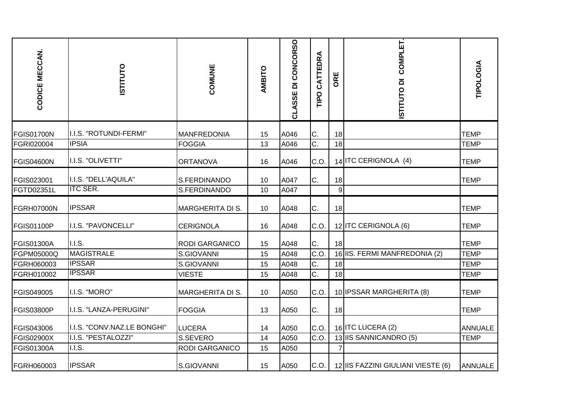| CODICE MECCAN.    | <b>STITUTO</b>              | COMUNE                  | AMBITO | CLASSE DI CONCORSO | CATTEDRA<br><b>Ddll</b> | ORE | COMPLET.<br>ISTITUTO DI            | <b>TIPOLOGIA</b> |
|-------------------|-----------------------------|-------------------------|--------|--------------------|-------------------------|-----|------------------------------------|------------------|
| <b>FGIS01700N</b> | I.I.S. "ROTUNDI-FERMI"      | <b>MANFREDONIA</b>      | 15     | A046               | C.                      | 18  |                                    | <b>TEMP</b>      |
| FGRI020004        | <b>IPSIA</b>                | <b>FOGGIA</b>           | 13     | A046               | C.                      | 18  |                                    | <b>TEMP</b>      |
| <b>FGIS04600N</b> | I.I.S. "OLIVETTI"           | <b>ORTANOVA</b>         | 16     | A046               | C.O.                    |     | 14 ITC CERIGNOLA (4)               | <b>TEMP</b>      |
| FGIS023001        | I.I.S. "DELL'AQUILA"        | S.FERDINANDO            | 10     | A047               | C.                      | 18  |                                    | <b>TEMP</b>      |
| FGTD02351L        | <b>ITC SER.</b>             | S.FERDINANDO            | 10     | A047               |                         | 9   |                                    |                  |
| <b>FGRH07000N</b> | <b>IPSSAR</b>               | MARGHERITA DI S.        | 10     | A048               | C.                      | 18  |                                    | <b>TEMP</b>      |
| <b>FGIS01100P</b> | I.I.S. "PAVONCELLI"         | <b>CERIGNOLA</b>        | 16     | A048               | C.O.                    |     | 12 ITC CERIGNOLA (6)               | <b>TEMP</b>      |
| <b>FGIS01300A</b> | <b>I.I.S.</b>               | <b>RODI GARGANICO</b>   | 15     | A048               | С.                      | 18  |                                    | <b>TEMP</b>      |
| FGPM05000Q        | MAGISTRALE                  | S.GIOVANNI              | 15     | A048               | C.O.                    |     | 16 IIS. FERMI MANFREDONIA (2)      | <b>TEMP</b>      |
| FGRH060003        | <b>IPSSAR</b>               | S.GIOVANNI              | 15     | A048               | C.                      | 18  |                                    | <b>TEMP</b>      |
| FGRH010002        | <b>IPSSAR</b>               | <b>VIESTE</b>           | 15     | A048               | $\overline{C}$ .        | 18  |                                    | <b>TEMP</b>      |
| <b>FGIS049005</b> | I.I.S. "MORO"               | <b>MARGHERITA DI S.</b> | 10     | A050               | C.O.                    |     | 10 IPSSAR MARGHERITA (8)           | <b>TEMP</b>      |
| <b>FGIS03800P</b> | I.I.S. "LANZA-PERUGINI"     | <b>FOGGIA</b>           | 13     | A050               | C.                      | 18  |                                    | <b>TEMP</b>      |
| FGIS043006        | I.I.S. "CONV.NAZ.LE BONGHI" | <b>LUCERA</b>           | 14     | A050               | C.O.                    |     | 16 ITC LUCERA (2)                  | <b>ANNUALE</b>   |
| <b>FGIS02900X</b> | I.I.S. "PESTALOZZI"         | S.SEVERO                | 14     | A050               | C.O.                    |     | 13 IIS SANNICANDRO (5)             | <b>TEMP</b>      |
| <b>FGIS01300A</b> | <b>I.I.S.</b>               | <b>RODI GARGANICO</b>   | 15     | A050               |                         | 7   |                                    |                  |
| <b>FGRH060003</b> | <b>IPSSAR</b>               | S.GIOVANNI              | 15     | A050               | C.O.                    |     | 12 IIS FAZZINI GIULIANI VIESTE (6) | <b>ANNUALE</b>   |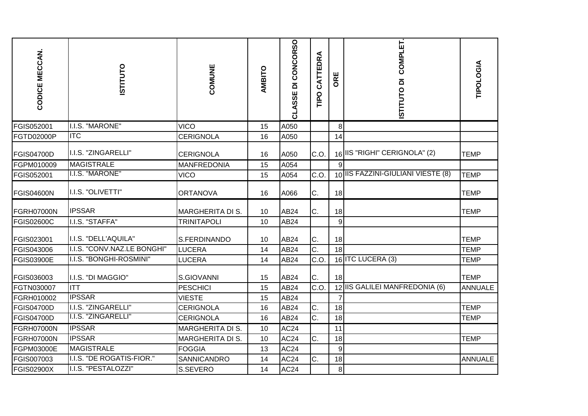| CODICE MECCAN.    | <b>ISTITUTO</b>             | COMUNE                  | AMBITO | CLASSE DI CONCORSO | CATTEDRA<br><b>Dall</b> | ORE   | COMPLET.<br>ISTITUTO DI            | TIPOLOGIA      |
|-------------------|-----------------------------|-------------------------|--------|--------------------|-------------------------|-------|------------------------------------|----------------|
| FGIS052001        | I.I.S. "MARONE"             | <b>VICO</b>             | 15     | A050               |                         | 8     |                                    |                |
| <b>FGTD02000P</b> | <b>ITC</b>                  | <b>CERIGNOLA</b>        | 16     | A050               |                         | 14    |                                    |                |
| <b>FGIS04700D</b> | I.I.S. "ZINGARELLI"         | <b>CERIGNOLA</b>        | 16     | A050               | C.O.                    |       | 16 IIS "RIGHI" CERIGNOLA" (2)      | <b>TEMP</b>    |
| FGPM010009        | <b>MAGISTRALE</b>           | <b>MANFREDONIA</b>      | 15     | A054               |                         | 9     |                                    |                |
| FGIS052001        | I.I.S. "MARONE"             | <b>VICO</b>             | 15     | A054               | C.O.                    |       | 10 IIS FAZZINI-GIULIANI VIESTE (8) | <b>TEMP</b>    |
| <b>FGIS04600N</b> | I.I.S. "OLIVETTI"           | <b>ORTANOVA</b>         | 16     | A066               | C.                      | 18    |                                    | <b>TEMP</b>    |
| <b>FGRH07000N</b> | <b>IPSSAR</b>               | <b>MARGHERITA DI S.</b> | 10     | AB24               | C.                      | 18    |                                    | <b>TEMP</b>    |
| <b>FGIS02600C</b> | I.I.S. "STAFFA"             | <b>TRINITAPOLI</b>      | 10     | AB24               |                         | $9\,$ |                                    |                |
| FGIS023001        | I.I.S. "DELL'AQUILA"        | S.FERDINANDO            | 10     | AB24               | C.                      | 18    |                                    | <b>TEMP</b>    |
| FGIS043006        | I.I.S. "CONV.NAZ.LE BONGHI" | <b>LUCERA</b>           | 14     | AB24               | C.                      | 18    |                                    | <b>TEMP</b>    |
| <b>FGIS03900E</b> | I.I.S. "BONGHI-ROSMINI"     | LUCERA                  | 14     | AB24               | C.O                     |       | 16 ITC LUCERA (3)                  | <b>TEMP</b>    |
| FGIS036003        | I.I.S. "DI MAGGIO"          | S.GIOVANNI              | 15     | <b>AB24</b>        | C.                      | 18    |                                    | <b>TEMP</b>    |
| FGTN030007        | ITT                         | <b>PESCHICI</b>         | 15     | AB24               | C.O.                    |       | 12 IIS GALILEI MANFREDONIA (6)     | <b>ANNUALE</b> |
| FGRH010002        | <b>IPSSAR</b>               | <b>VIESTE</b>           | 15     | <b>AB24</b>        |                         | 7     |                                    |                |
| <b>FGIS04700D</b> | I.I.S. "ZINGARELLI"         | <b>CERIGNOLA</b>        | 16     | AB24               | C.                      | 18    |                                    | <b>TEMP</b>    |
| <b>FGIS04700D</b> | I.I.S. "ZINGARELLI"         | <b>CERIGNOLA</b>        | 16     | <b>AB24</b>        | C.                      | 18    |                                    | <b>TEMP</b>    |
| FGRH07000N        | <b>IPSSAR</b>               | <b>MARGHERITA DI S.</b> | 10     | <b>AC24</b>        |                         | 11    |                                    |                |
| <b>FGRH07000N</b> | <b>IPSSAR</b>               | <b>MARGHERITA DI S.</b> | 10     | <b>AC24</b>        | C.                      | 18    |                                    | <b>TEMP</b>    |
| FGPM03000E        | MAGISTRALE                  | <b>FOGGIA</b>           | 13     | <b>AC24</b>        |                         | $9\,$ |                                    |                |
| FGIS007003        | I.I.S. "DE ROGATIS-FIOR."   | SANNICANDRO             | 14     | AC <sub>24</sub>   | C.                      | 18    |                                    | <b>ANNUALE</b> |
| <b>FGIS02900X</b> | I.I.S. "PESTALOZZI"         | S.SEVERO                | 14     | <b>AC24</b>        |                         | 8     |                                    |                |